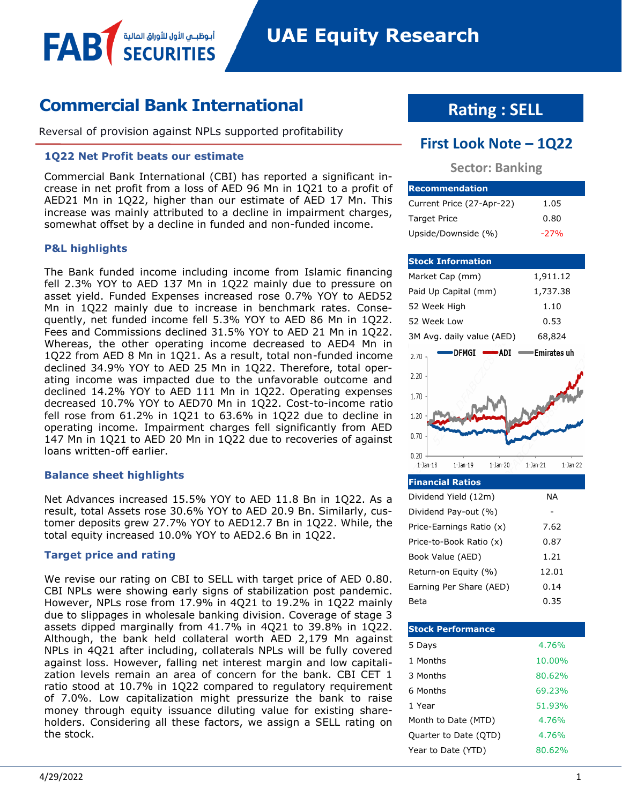# **Commercial Bank International**

أبوظبــي الأول للأوراق المالية

Reversal of provision against NPLs supported profitability

#### **1Q22 Net Profit beats our estimate**

Commercial Bank International (CBI) has reported a significant increase in net profit from a loss of AED 96 Mn in 1Q21 to a profit of AED21 Mn in 1Q22, higher than our estimate of AED 17 Mn. This increase was mainly attributed to a decline in impairment charges, somewhat offset by a decline in funded and non-funded income.

#### **P&L highlights**

FAB

The Bank funded income including income from Islamic financing fell 2.3% YOY to AED 137 Mn in 1Q22 mainly due to pressure on asset yield. Funded Expenses increased rose 0.7% YOY to AED52 Mn in 1Q22 mainly due to increase in benchmark rates. Consequently, net funded income fell 5.3% YOY to AED 86 Mn in 1Q22. Fees and Commissions declined 31.5% YOY to AED 21 Mn in 1Q22. Whereas, the other operating income decreased to AED4 Mn in 1Q22 from AED 8 Mn in 1Q21. As a result, total non-funded income declined 34.9% YOY to AED 25 Mn in 1Q22. Therefore, total operating income was impacted due to the unfavorable outcome and declined 14.2% YOY to AED 111 Mn in 1Q22. Operating expenses decreased 10.7% YOY to AED70 Mn in 1Q22. Cost-to-income ratio fell rose from 61.2% in 1Q21 to 63.6% in 1Q22 due to decline in operating income. Impairment charges fell significantly from AED 147 Mn in 1Q21 to AED 20 Mn in 1Q22 due to recoveries of against loans written-off earlier.

#### **Balance sheet highlights**

Net Advances increased 15.5% YOY to AED 11.8 Bn in 1Q22. As a result, total Assets rose 30.6% YOY to AED 20.9 Bn. Similarly, customer deposits grew 27.7% YOY to AED12.7 Bn in 1Q22. While, the total equity increased 10.0% YOY to AED2.6 Bn in 1Q22.

#### **Target price and rating**

We revise our rating on CBI to SELL with target price of AED 0.80. CBI NPLs were showing early signs of stabilization post pandemic. However, NPLs rose from 17.9% in 4Q21 to 19.2% in 1Q22 mainly due to slippages in wholesale banking division. Coverage of stage 3 assets dipped marginally from 41.7% in 4Q21 to 39.8% in 1Q22. Although, the bank held collateral worth AED 2,179 Mn against NPLs in 4Q21 after including, collaterals NPLs will be fully covered against loss. However, falling net interest margin and low capitalization levels remain an area of concern for the bank. CBI CET 1 ratio stood at 10.7% in 1Q22 compared to regulatory requirement of 7.0%. Low capitalization might pressurize the bank to raise money through equity issuance diluting value for existing shareholders. Considering all these factors, we assign a SELL rating on the stock.

# **Rating : SELL**

# **First Look Note – 1Q22**

### **Sector: Banking**

| <b>Recommendation</b>     |        |
|---------------------------|--------|
| Current Price (27-Apr-22) | 1.05   |
| <b>Target Price</b>       | 0.80   |
| Upside/Downside (%)       | $-27%$ |

#### **Stock Information** Market Cap (mm) 1,911.12 Paid Up Capital (mm) 1,737.38 52 Week High 1.10 52 Week Low 0.53 3M Avg. daily value (AED) 68,824 DFMGI - $-$ ADI  $=$ Emirates uh  $2.70$ 2.20 1.70 1.20  $0.70$  $0.20$  $1 - Jan - 22$  $1$ -Jan- $18$  $1 - Jan - 19$  $1-$ Jan $-20$  $1 - Jan - 21$

| <b>Financial Ratios</b>  |       |
|--------------------------|-------|
| Dividend Yield (12m)     | ΝA    |
| Dividend Pay-out (%)     |       |
| Price-Earnings Ratio (x) | 7.62  |
| Price-to-Book Ratio (x)  | 0.87  |
| Book Value (AED)         | 1.21  |
| Return-on Equity (%)     | 12.01 |
| Earning Per Share (AED)  | 0.14  |
| Beta                     | 0.35  |

| <b>Stock Performance</b> |        |
|--------------------------|--------|
| 5 Days                   | 4.76%  |
| 1 Months                 | 10.00% |
| 3 Months                 | 80.62% |
| 6 Months                 | 69.23% |
| 1 Year                   | 51.93% |
| Month to Date (MTD)      | 4.76%  |
| Quarter to Date (QTD)    | 4.76%  |
| Year to Date (YTD)       | 80.62% |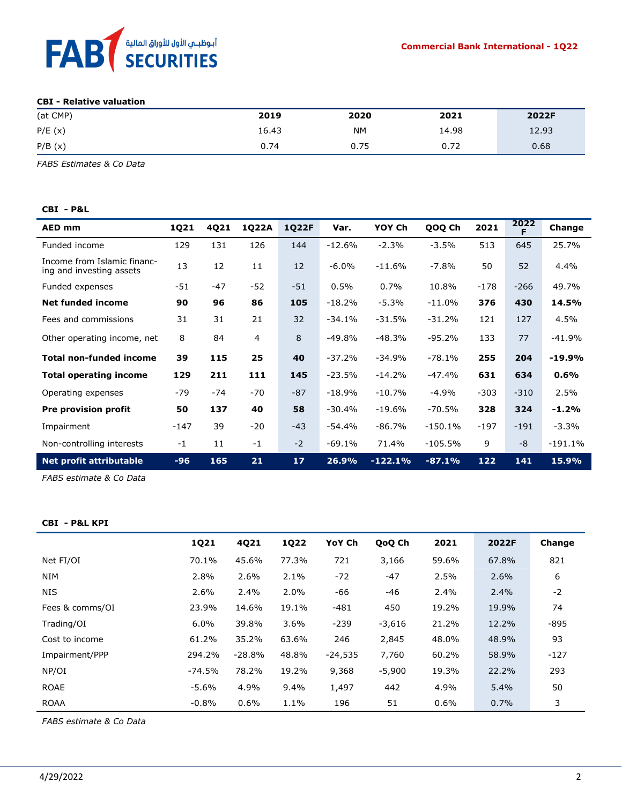

#### **CBI - Relative valuation**

| (at CMP) | 2019  | 2020      | 2021  | 2022F |
|----------|-------|-----------|-------|-------|
| P/E(x)   | 16.43 | <b>NM</b> | 14.98 | 12.93 |
| P/B(x)   | 0.74  | 0.75      | 0.72  | 0.68  |

*FABS Estimates & Co Data*

#### **CBI - P&L**

| <b>AED mm</b>                                           | 1Q21   | 4Q21  | 1Q22A          | 1Q22F           | Var.     | YOY Ch    | QOQ Ch    | 2021   | 2022<br>F | Change    |
|---------------------------------------------------------|--------|-------|----------------|-----------------|----------|-----------|-----------|--------|-----------|-----------|
| Funded income                                           | 129    | 131   | 126            | 144             | $-12.6%$ | $-2.3%$   | $-3.5%$   | 513    | 645       | 25.7%     |
| Income from Islamic financ-<br>ing and investing assets | 13     | 12    | 11             | 12              | $-6.0\%$ | $-11.6%$  | $-7.8%$   | 50     | 52        | 4.4%      |
| Funded expenses                                         | $-51$  | $-47$ | $-52$          | $-51$           | 0.5%     | 0.7%      | 10.8%     | $-178$ | $-266$    | 49.7%     |
| <b>Net funded income</b>                                | 90     | 96    | 86             | 105             | $-18.2%$ | $-5.3%$   | $-11.0%$  | 376    | 430       | 14.5%     |
| Fees and commissions                                    | 31     | 31    | 21             | 32              | $-34.1%$ | $-31.5%$  | $-31.2%$  | 121    | 127       | 4.5%      |
| Other operating income, net                             | 8      | 84    | $\overline{4}$ | 8               | $-49.8%$ | $-48.3%$  | $-95.2%$  | 133    | 77        | $-41.9%$  |
| <b>Total non-funded income</b>                          | 39     | 115   | 25             | 40              | $-37.2%$ | $-34.9%$  | $-78.1%$  | 255    | 204       | $-19.9%$  |
| <b>Total operating income</b>                           | 129    | 211   | 111            | 145             | $-23.5%$ | $-14.2%$  | $-47.4%$  | 631    | 634       | 0.6%      |
| Operating expenses                                      | $-79$  | $-74$ | $-70$          | $-87$           | $-18.9%$ | $-10.7%$  | $-4.9%$   | $-303$ | $-310$    | 2.5%      |
| Pre provision profit                                    | 50     | 137   | 40             | 58              | $-30.4%$ | $-19.6%$  | $-70.5%$  | 328    | 324       | $-1.2%$   |
| Impairment                                              | $-147$ | 39    | $-20$          | $-43$           | $-54.4%$ | $-86.7%$  | $-150.1%$ | $-197$ | $-191$    | $-3.3%$   |
| Non-controlling interests                               | $-1$   | 11    | $-1$           | $-2$            | $-69.1%$ | 71.4%     | $-105.5%$ | 9      | $-8$      | $-191.1%$ |
| <b>Net profit attributable</b>                          | $-96$  | 165   | 21             | 17 <sub>2</sub> | 26.9%    | $-122.1%$ | $-87.1%$  | 122    | 141       | 15.9%     |

*FABS estimate & Co Data* 

#### **CBI - P&L KPI**

|                 | 1Q21     | 4Q21     | <b>1Q22</b> | YoY Ch    | QoQ Ch   | 2021  | 2022F | Change |
|-----------------|----------|----------|-------------|-----------|----------|-------|-------|--------|
| Net FI/OI       | 70.1%    | 45.6%    | 77.3%       | 721       | 3,166    | 59.6% | 67.8% | 821    |
| <b>NIM</b>      | 2.8%     | 2.6%     | 2.1%        | $-72$     | $-47$    | 2.5%  | 2.6%  | 6      |
| <b>NIS</b>      | 2.6%     | 2.4%     | 2.0%        | -66       | -46      | 2.4%  | 2.4%  | $-2$   |
| Fees & comms/OI | 23.9%    | 14.6%    | 19.1%       | $-481$    | 450      | 19.2% | 19.9% | 74     |
| Trading/OI      | $6.0\%$  | 39.8%    | 3.6%        | $-239$    | $-3,616$ | 21.2% | 12.2% | $-895$ |
| Cost to income  | 61.2%    | 35.2%    | 63.6%       | 246       | 2,845    | 48.0% | 48.9% | 93     |
| Impairment/PPP  | 294.2%   | $-28.8%$ | 48.8%       | $-24,535$ | 7,760    | 60.2% | 58.9% | $-127$ |
| NP/OI           | $-74.5%$ | 78.2%    | 19.2%       | 9,368     | $-5,900$ | 19.3% | 22.2% | 293    |
| <b>ROAE</b>     | $-5.6\%$ | 4.9%     | $9.4\%$     | 1,497     | 442      | 4.9%  | 5.4%  | 50     |
| <b>ROAA</b>     | $-0.8%$  | $0.6\%$  | 1.1%        | 196       | 51       | 0.6%  | 0.7%  | 3      |

*FABS estimate & Co Data*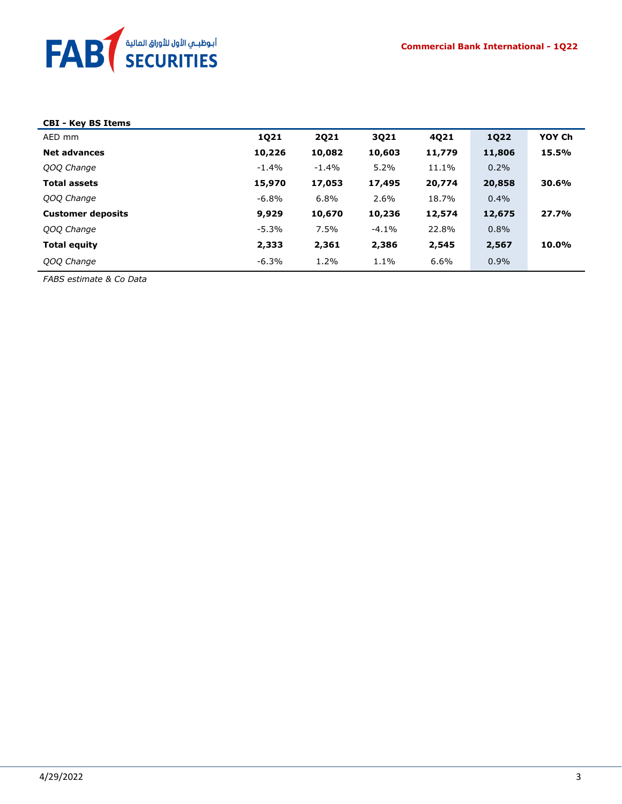

## **CBI - Key BS Items**

| AED mm                   | 1Q21     | 2021    | 3021     | 4Q21   | <b>1Q22</b> | YOY Ch |
|--------------------------|----------|---------|----------|--------|-------------|--------|
| <b>Net advances</b>      | 10,226   | 10,082  | 10,603   | 11,779 | 11,806      | 15.5%  |
| QOQ Change               | $-1.4\%$ | $-1.4%$ | 5.2%     | 11.1%  | 0.2%        |        |
| <b>Total assets</b>      | 15,970   | 17,053  | 17,495   | 20,774 | 20,858      | 30.6%  |
| QOQ Change               | -6.8%    | 6.8%    | 2.6%     | 18.7%  | 0.4%        |        |
| <b>Customer deposits</b> | 9,929    | 10,670  | 10,236   | 12,574 | 12,675      | 27.7%  |
| QOQ Change               | $-5.3%$  | 7.5%    | $-4.1\%$ | 22.8%  | 0.8%        |        |
| <b>Total equity</b>      | 2,333    | 2,361   | 2,386    | 2,545  | 2,567       | 10.0%  |
| QOQ Change               | $-6.3%$  | 1.2%    | 1.1%     | 6.6%   | $0.9\%$     |        |

*FABS estimate & Co Data*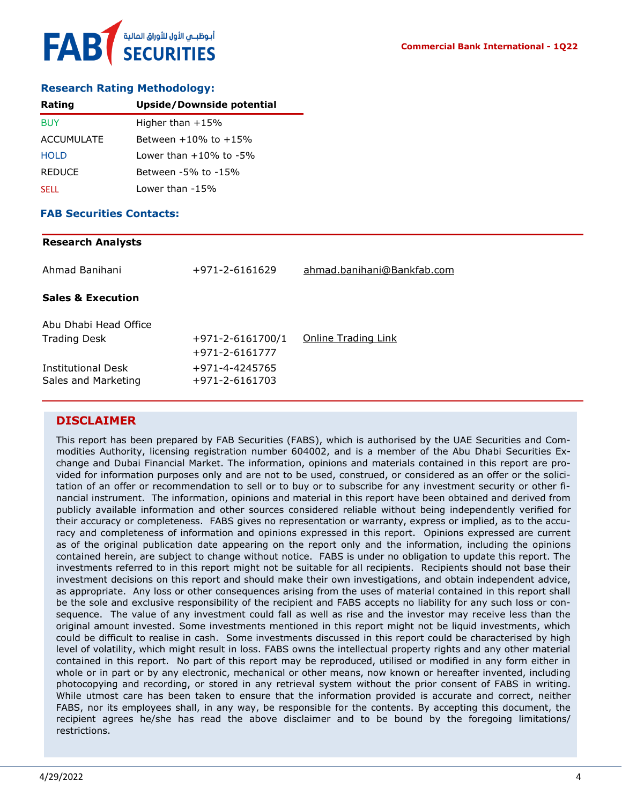#### **Research Rating Methodology:**

| Rating        | Upside/Downside potential       |
|---------------|---------------------------------|
| <b>BUY</b>    | Higher than $+15%$              |
| ACCUMULATE    | Between $+10\%$ to $+15\%$      |
| <b>HOLD</b>   | $1$ ower than $+10\%$ to $-5\%$ |
| <b>REDUCE</b> | Between -5% to -15%             |
| <b>SELL</b>   | Lower than -15%                 |

#### **FAB Securities Contacts:**

#### **Research Analysts**

| Ahmad Banihani                               | +971-2-6161629                           | ahmad.banihani@Bankfab.com |
|----------------------------------------------|------------------------------------------|----------------------------|
| <b>Sales &amp; Execution</b>                 |                                          |                            |
| Abu Dhabi Head Office<br><b>Trading Desk</b> | $+971 - 2 - 6161700/1$<br>+971-2-6161777 | Online Trading Link        |
| Institutional Desk<br>Sales and Marketing    | +971-4-4245765<br>+971-2-6161703         |                            |

#### **DISCLAIMER**

This report has been prepared by FAB Securities (FABS), which is authorised by the UAE Securities and Commodities Authority, licensing registration number 604002, and is a member of the Abu Dhabi Securities Exchange and Dubai Financial Market. The information, opinions and materials contained in this report are provided for information purposes only and are not to be used, construed, or considered as an offer or the solicitation of an offer or recommendation to sell or to buy or to subscribe for any investment security or other financial instrument. The information, opinions and material in this report have been obtained and derived from publicly available information and other sources considered reliable without being independently verified for their accuracy or completeness. FABS gives no representation or warranty, express or implied, as to the accuracy and completeness of information and opinions expressed in this report. Opinions expressed are current as of the original publication date appearing on the report only and the information, including the opinions contained herein, are subject to change without notice. FABS is under no obligation to update this report. The investments referred to in this report might not be suitable for all recipients. Recipients should not base their investment decisions on this report and should make their own investigations, and obtain independent advice, as appropriate. Any loss or other consequences arising from the uses of material contained in this report shall be the sole and exclusive responsibility of the recipient and FABS accepts no liability for any such loss or consequence. The value of any investment could fall as well as rise and the investor may receive less than the original amount invested. Some investments mentioned in this report might not be liquid investments, which could be difficult to realise in cash. Some investments discussed in this report could be characterised by high level of volatility, which might result in loss. FABS owns the intellectual property rights and any other material contained in this report. No part of this report may be reproduced, utilised or modified in any form either in whole or in part or by any electronic, mechanical or other means, now known or hereafter invented, including photocopying and recording, or stored in any retrieval system without the prior consent of FABS in writing. While utmost care has been taken to ensure that the information provided is accurate and correct, neither FABS, nor its employees shall, in any way, be responsible for the contents. By accepting this document, the recipient agrees he/she has read the above disclaimer and to be bound by the foregoing limitations/ restrictions.